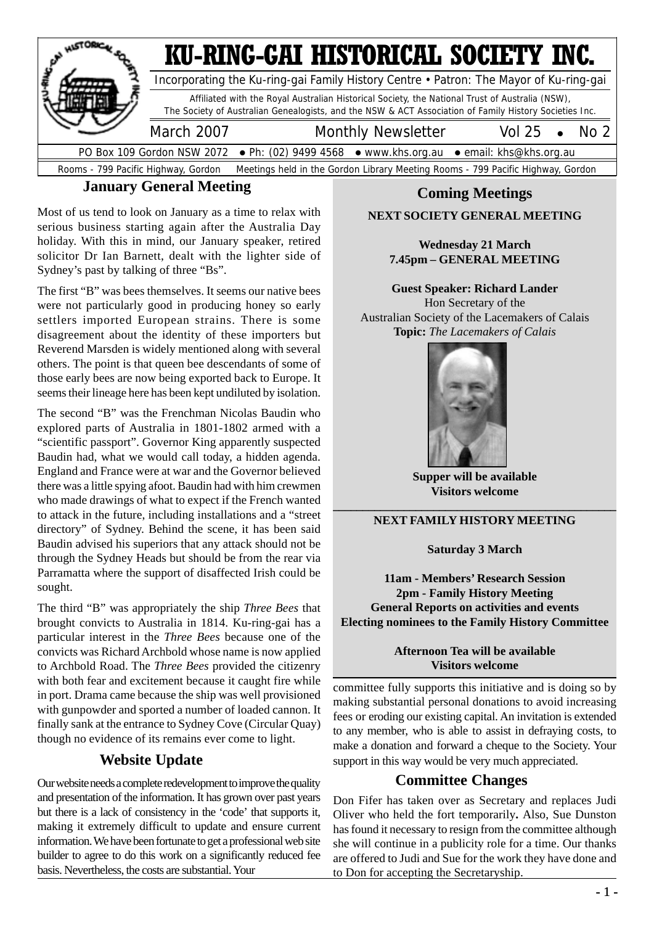

#### **January General Meeting**

Most of us tend to look on January as a time to relax with serious business starting again after the Australia Day holiday. With this in mind, our January speaker, retired solicitor Dr Ian Barnett, dealt with the lighter side of Sydney's past by talking of three "Bs".

The first "B" was bees themselves. It seems our native bees were not particularly good in producing honey so early settlers imported European strains. There is some disagreement about the identity of these importers but Reverend Marsden is widely mentioned along with several others. The point is that queen bee descendants of some of those early bees are now being exported back to Europe. It seems their lineage here has been kept undiluted by isolation.

The second "B" was the Frenchman Nicolas Baudin who explored parts of Australia in 1801-1802 armed with a "scientific passport". Governor King apparently suspected Baudin had, what we would call today, a hidden agenda. England and France were at war and the Governor believed there was a little spying afoot. Baudin had with him crewmen who made drawings of what to expect if the French wanted to attack in the future, including installations and a "street directory" of Sydney. Behind the scene, it has been said Baudin advised his superiors that any attack should not be through the Sydney Heads but should be from the rear via Parramatta where the support of disaffected Irish could be sought.

The third "B" was appropriately the ship *Three Bees* that brought convicts to Australia in 1814. Ku-ring-gai has a particular interest in the *Three Bees* because one of the convicts was Richard Archbold whose name is now applied to Archbold Road. The *Three Bees* provided the citizenry with both fear and excitement because it caught fire while in port. Drama came because the ship was well provisioned with gunpowder and sported a number of loaded cannon. It finally sank at the entrance to Sydney Cove (Circular Quay) though no evidence of its remains ever come to light.

#### **Website Update**

Our website needs a complete redevelopment to improve the quality and presentation of the information. It has grown over past years but there is a lack of consistency in the 'code' that supports it, making it extremely difficult to update and ensure current information. We have been fortunate to get a professional web site builder to agree to do this work on a significantly reduced fee basis. Nevertheless, the costs are substantial. Your

#### **Coming Meetings**

#### **NEXT SOCIETY GENERAL MEETING**

#### **Wednesday 21 March 7.45pm – GENERAL MEETING**

**Guest Speaker: Richard Lander** Hon Secretary of the Australian Society of the Lacemakers of Calais **Topic:** *The Lacemakers of Calais*



**Supper will be available Visitors welcome**

#### **\_\_\_\_\_\_\_\_\_\_\_\_\_\_\_\_\_\_\_\_\_\_\_\_\_\_\_\_\_\_\_\_\_\_\_\_\_\_\_\_\_\_\_\_\_\_\_\_ NEXT FAMILY HISTORY MEETING**

**Saturday 3 March**

**11am - Members' Research Session 2pm - Family History Meeting General Reports on activities and events Electing nominees to the Family History Committee**

#### **Afternoon Tea will be available Visitors welcome**

committee fully supports this initiative and is doing so by making substantial personal donations to avoid increasing fees or eroding our existing capital. An invitation is extended to any member, who is able to assist in defraying costs, to make a donation and forward a cheque to the Society. Your support in this way would be very much appreciated.

#### **Committee Changes**

Don Fifer has taken over as Secretary and replaces Judi Oliver who held the fort temporarily**.** Also, Sue Dunston has found it necessary to resign from the committee although she will continue in a publicity role for a time. Our thanks are offered to Judi and Sue for the work they have done and to Don for accepting the Secretaryship.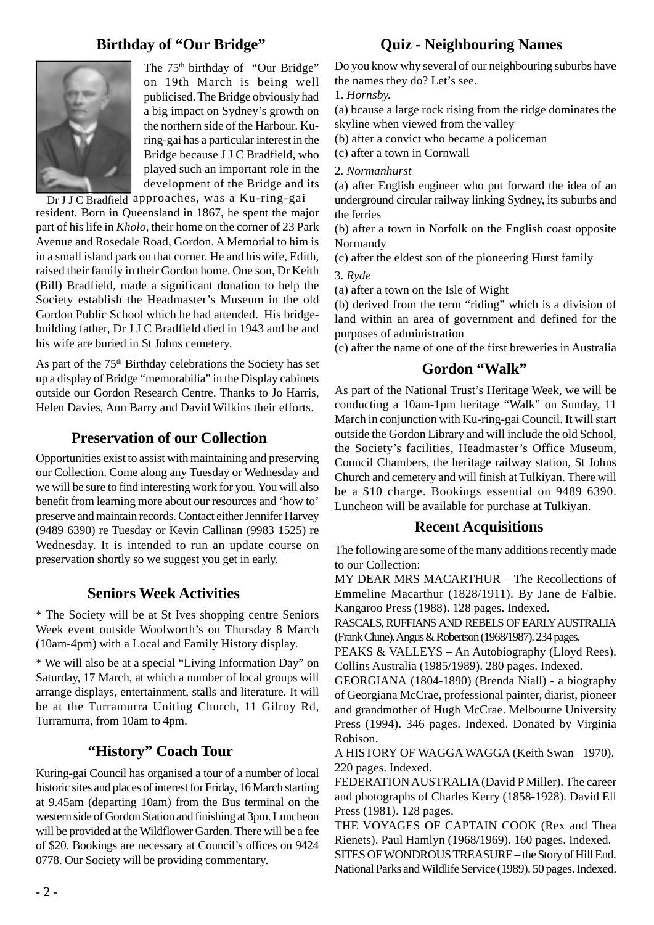### **Birthday of "Our Bridge"**



The 75<sup>th</sup> birthday of "Our Bridge" on 19th March is being well publicised. The Bridge obviously had a big impact on Sydney's growth on the northern side of the Harbour. Kuring-gai has a particular interest in the Bridge because J J C Bradfield, who played such an important role in the development of the Bridge and its

Dr J J C Bradfield approaches, was a Ku-ring-gai resident. Born in Queensland in 1867, he spent the major part of his life in *Kholo*, their home on the corner of 23 Park Avenue and Rosedale Road, Gordon. A Memorial to him is in a small island park on that corner. He and his wife, Edith, raised their family in their Gordon home. One son, Dr Keith (Bill) Bradfield, made a significant donation to help the Society establish the Headmaster's Museum in the old Gordon Public School which he had attended. His bridgebuilding father, Dr J J C Bradfield died in 1943 and he and his wife are buried in St Johns cemetery.

As part of the 75<sup>th</sup> Birthday celebrations the Society has set up a display of Bridge "memorabilia" in the Display cabinets outside our Gordon Research Centre. Thanks to Jo Harris, Helen Davies, Ann Barry and David Wilkins their efforts.

#### **Preservation of our Collection**

Opportunities exist to assist with maintaining and preserving our Collection. Come along any Tuesday or Wednesday and we will be sure to find interesting work for you. You will also benefit from learning more about our resources and 'how to' preserve and maintain records. Contact either Jennifer Harvey (9489 6390) re Tuesday or Kevin Callinan (9983 1525) re Wednesday. It is intended to run an update course on preservation shortly so we suggest you get in early.

#### **Seniors Week Activities**

\* The Society will be at St Ives shopping centre Seniors Week event outside Woolworth's on Thursday 8 March (10am-4pm) with a Local and Family History display.

\* We will also be at a special "Living Information Day" on Saturday, 17 March, at which a number of local groups will arrange displays, entertainment, stalls and literature. It will be at the Turramurra Uniting Church, 11 Gilroy Rd, Turramurra, from 10am to 4pm.

#### **"History" Coach Tour**

Kuring-gai Council has organised a tour of a number of local historic sites and places of interest for Friday, 16 March starting at 9.45am (departing 10am) from the Bus terminal on the western side of Gordon Station and finishing at 3pm. Luncheon will be provided at the Wildflower Garden. There will be a fee of \$20. Bookings are necessary at Council's offices on 9424 0778. Our Society will be providing commentary.

#### **Quiz - Neighbouring Names**

Do you know why several of our neighbouring suburbs have the names they do? Let's see.

1. *Hornsby.*

(a) bcause a large rock rising from the ridge dominates the skyline when viewed from the valley

(b) after a convict who became a policeman

(c) after a town in Cornwall

2*. Normanhurst*

(a) after English engineer who put forward the idea of an underground circular railway linking Sydney, its suburbs and the ferries

(b) after a town in Norfolk on the English coast opposite Normandy

(c) after the eldest son of the pioneering Hurst family

3*. Ryde*

(a) after a town on the Isle of Wight

(b) derived from the term "riding" which is a division of land within an area of government and defined for the purposes of administration

(c) after the name of one of the first breweries in Australia

#### **Gordon "Walk"**

As part of the National Trust's Heritage Week, we will be conducting a 10am-1pm heritage "Walk" on Sunday, 11 March in conjunction with Ku-ring-gai Council. It will start outside the Gordon Library and will include the old School, the Society's facilities, Headmaster's Office Museum, Council Chambers, the heritage railway station, St Johns Church and cemetery and will finish at Tulkiyan. There will be a \$10 charge. Bookings essential on 9489 6390. Luncheon will be available for purchase at Tulkiyan.

#### **Recent Acquisitions**

The following are some of the many additions recently made to our Collection:

MY DEAR MRS MACARTHUR – The Recollections of Emmeline Macarthur (1828/1911). By Jane de Falbie. Kangaroo Press (1988). 128 pages. Indexed.

RASCALS, RUFFIANS AND REBELS OF EARLY AUSTRALIA (Frank Clune). Angus & Robertson (1968/1987). 234 pages.

PEAKS & VALLEYS – An Autobiography (Lloyd Rees). Collins Australia (1985/1989). 280 pages. Indexed.

GEORGIANA (1804-1890) (Brenda Niall) - a biography of Georgiana McCrae, professional painter, diarist, pioneer and grandmother of Hugh McCrae. Melbourne University Press (1994). 346 pages. Indexed. Donated by Virginia Robison.

A HISTORY OF WAGGA WAGGA (Keith Swan –1970). 220 pages. Indexed.

FEDERATION AUSTRALIA (David P Miller). The career and photographs of Charles Kerry (1858-1928). David Ell Press (1981). 128 pages.

THE VOYAGES OF CAPTAIN COOK (Rex and Thea Rienets). Paul Hamlyn (1968/1969). 160 pages. Indexed. SITES OF WONDROUS TREASURE – the Story of Hill End. National Parks and Wildlife Service (1989). 50 pages. Indexed.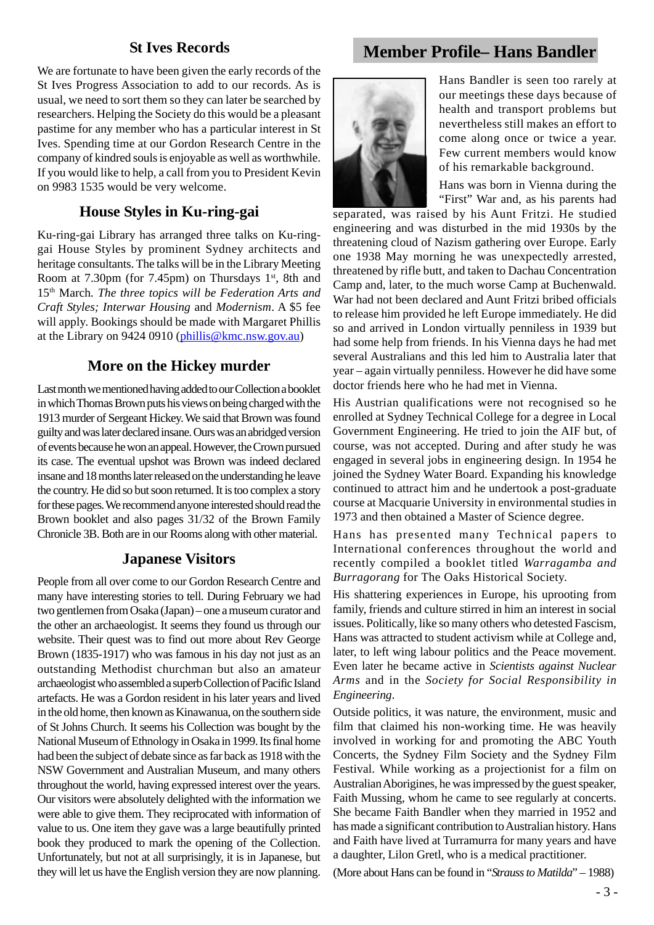We are fortunate to have been given the early records of the St Ives Progress Association to add to our records. As is usual, we need to sort them so they can later be searched by researchers. Helping the Society do this would be a pleasant pastime for any member who has a particular interest in St Ives. Spending time at our Gordon Research Centre in the company of kindred souls is enjoyable as well as worthwhile. If you would like to help, a call from you to President Kevin on 9983 1535 would be very welcome.

#### **House Styles in Ku-ring-gai**

Ku-ring-gai Library has arranged three talks on Ku-ringgai House Styles by prominent Sydney architects and heritage consultants. The talks will be in the Library Meeting Room at 7.30pm (for 7.45pm) on Thursdays  $1<sup>st</sup>$ , 8th and 15th March*. The three topics will be Federation Arts and Craft Styles; Interwar Housing* and *Modernism*. A \$5 fee will apply. Bookings should be made with Margaret Phillis at the Library on 9424 0910 (phillis@kmc.nsw.gov.au)

#### **More on the Hickey murder**

Last month we mentioned having added to our Collection a booklet in which Thomas Brown puts his views on being charged with the 1913 murder of Sergeant Hickey. We said that Brown was found guilty and was later declared insane. Ours was an abridged version of events because he won an appeal. However, the Crown pursued its case. The eventual upshot was Brown was indeed declared insane and 18 months later released on the understanding he leave the country. He did so but soon returned. It is too complex a story for these pages. We recommend anyone interested should read the Brown booklet and also pages 31/32 of the Brown Family Chronicle 3B. Both are in our Rooms along with other material.

#### **Japanese Visitors**

People from all over come to our Gordon Research Centre and many have interesting stories to tell. During February we had two gentlemen from Osaka (Japan) – one a museum curator and the other an archaeologist. It seems they found us through our website. Their quest was to find out more about Rev George Brown (1835-1917) who was famous in his day not just as an outstanding Methodist churchman but also an amateur archaeologist who assembled a superb Collection of Pacific Island artefacts. He was a Gordon resident in his later years and lived in the old home, then known as Kinawanua, on the southern side of St Johns Church. It seems his Collection was bought by the National Museum of Ethnology in Osaka in 1999. Its final home had been the subject of debate since as far back as 1918 with the NSW Government and Australian Museum, and many others throughout the world, having expressed interest over the years. Our visitors were absolutely delighted with the information we were able to give them. They reciprocated with information of value to us. One item they gave was a large beautifully printed book they produced to mark the opening of the Collection. Unfortunately, but not at all surprisingly, it is in Japanese, but they will let us have the English version they are now planning.

# **St Ives Records Member Profile– Hans Bandler**



Hans Bandler is seen too rarely at our meetings these days because of health and transport problems but nevertheless still makes an effort to come along once or twice a year. Few current members would know of his remarkable background.

Hans was born in Vienna during the "First" War and, as his parents had

separated, was raised by his Aunt Fritzi. He studied engineering and was disturbed in the mid 1930s by the threatening cloud of Nazism gathering over Europe. Early one 1938 May morning he was unexpectedly arrested, threatened by rifle butt, and taken to Dachau Concentration Camp and, later, to the much worse Camp at Buchenwald. War had not been declared and Aunt Fritzi bribed officials to release him provided he left Europe immediately. He did so and arrived in London virtually penniless in 1939 but had some help from friends. In his Vienna days he had met several Australians and this led him to Australia later that year – again virtually penniless. However he did have some doctor friends here who he had met in Vienna.

His Austrian qualifications were not recognised so he enrolled at Sydney Technical College for a degree in Local Government Engineering. He tried to join the AIF but, of course, was not accepted. During and after study he was engaged in several jobs in engineering design. In 1954 he joined the Sydney Water Board. Expanding his knowledge continued to attract him and he undertook a post-graduate course at Macquarie University in environmental studies in 1973 and then obtained a Master of Science degree.

Hans has presented many Technical papers to International conferences throughout the world and recently compiled a booklet titled *Warragamba and Burragorang* for The Oaks Historical Society.

His shattering experiences in Europe, his uprooting from family, friends and culture stirred in him an interest in social issues. Politically, like so many others who detested Fascism, Hans was attracted to student activism while at College and, later, to left wing labour politics and the Peace movement. Even later he became active in *Scientists against Nuclear Arms* and in the *Society for Social Responsibility in Engineering*.

Outside politics, it was nature, the environment, music and film that claimed his non-working time. He was heavily involved in working for and promoting the ABC Youth Concerts, the Sydney Film Society and the Sydney Film Festival. While working as a projectionist for a film on Australian Aborigines, he was impressed by the guest speaker, Faith Mussing, whom he came to see regularly at concerts. She became Faith Bandler when they married in 1952 and has made a significant contribution to Australian history. Hans and Faith have lived at Turramurra for many years and have a daughter, Lilon Gretl, who is a medical practitioner.

(More about Hans can be found in "*Strauss to Matilda*" – 1988)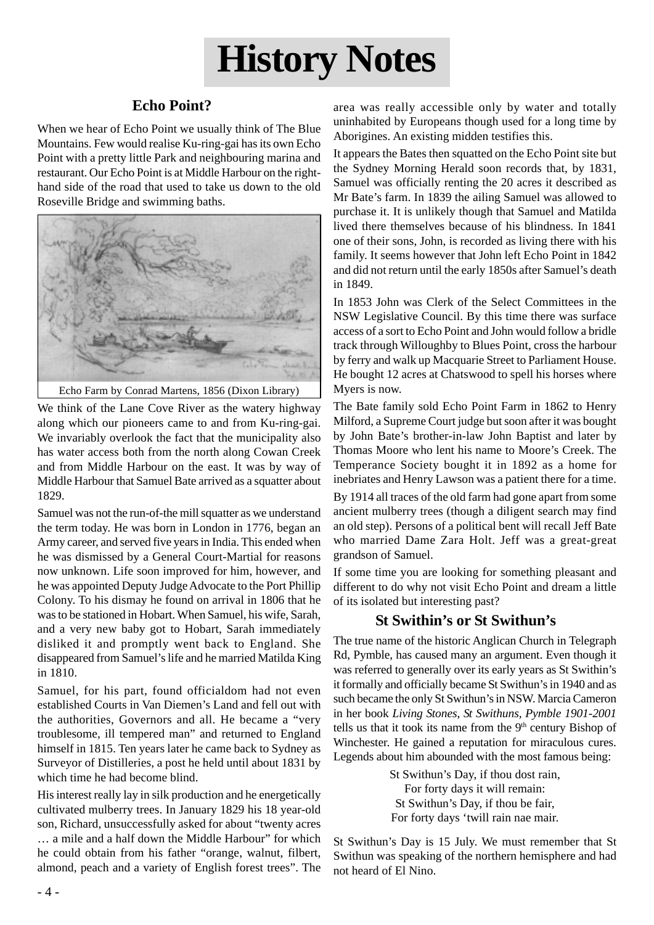# **History Notes**

# **Echo Point?**

When we hear of Echo Point we usually think of The Blue Mountains. Few would realise Ku-ring-gai has its own Echo Point with a pretty little Park and neighbouring marina and restaurant. Our Echo Point is at Middle Harbour on the righthand side of the road that used to take us down to the old Roseville Bridge and swimming baths.



We think of the Lane Cove River as the watery highway along which our pioneers came to and from Ku-ring-gai. We invariably overlook the fact that the municipality also has water access both from the north along Cowan Creek and from Middle Harbour on the east. It was by way of Middle Harbour that Samuel Bate arrived as a squatter about 1829.

Samuel was not the run-of-the mill squatter as we understand the term today. He was born in London in 1776, began an Army career, and served five years in India. This ended when he was dismissed by a General Court-Martial for reasons now unknown. Life soon improved for him, however, and he was appointed Deputy Judge Advocate to the Port Phillip Colony. To his dismay he found on arrival in 1806 that he was to be stationed in Hobart. When Samuel, his wife, Sarah, and a very new baby got to Hobart, Sarah immediately disliked it and promptly went back to England. She disappeared from Samuel's life and he married Matilda King in 1810.

Samuel, for his part, found officialdom had not even established Courts in Van Diemen's Land and fell out with the authorities, Governors and all. He became a "very troublesome, ill tempered man" and returned to England himself in 1815. Ten years later he came back to Sydney as Surveyor of Distilleries, a post he held until about 1831 by which time he had become blind.

His interest really lay in silk production and he energetically cultivated mulberry trees. In January 1829 his 18 year-old son, Richard, unsuccessfully asked for about "twenty acres … a mile and a half down the Middle Harbour" for which he could obtain from his father "orange, walnut, filbert, almond, peach and a variety of English forest trees". The area was really accessible only by water and totally uninhabited by Europeans though used for a long time by Aborigines. An existing midden testifies this.

It appears the Bates then squatted on the Echo Point site but the Sydney Morning Herald soon records that, by 1831, Samuel was officially renting the 20 acres it described as Mr Bate's farm. In 1839 the ailing Samuel was allowed to purchase it. It is unlikely though that Samuel and Matilda lived there themselves because of his blindness. In 1841 one of their sons, John, is recorded as living there with his family. It seems however that John left Echo Point in 1842 and did not return until the early 1850s after Samuel's death in 1849.

In 1853 John was Clerk of the Select Committees in the NSW Legislative Council. By this time there was surface access of a sort to Echo Point and John would follow a bridle track through Willoughby to Blues Point, cross the harbour by ferry and walk up Macquarie Street to Parliament House. He bought 12 acres at Chatswood to spell his horses where Myers is now.

The Bate family sold Echo Point Farm in 1862 to Henry Milford, a Supreme Court judge but soon after it was bought by John Bate's brother-in-law John Baptist and later by Thomas Moore who lent his name to Moore's Creek. The Temperance Society bought it in 1892 as a home for inebriates and Henry Lawson was a patient there for a time.

By 1914 all traces of the old farm had gone apart from some ancient mulberry trees (though a diligent search may find an old step). Persons of a political bent will recall Jeff Bate who married Dame Zara Holt. Jeff was a great-great grandson of Samuel.

If some time you are looking for something pleasant and different to do why not visit Echo Point and dream a little of its isolated but interesting past?

## **St Swithin's or St Swithun's**

The true name of the historic Anglican Church in Telegraph Rd, Pymble, has caused many an argument. Even though it was referred to generally over its early years as St Swithin's it formally and officially became St Swithun's in 1940 and as such became the only St Swithun's in NSW. Marcia Cameron in her book *Living Stones, St Swithuns, Pymble 1901-2001* tells us that it took its name from the  $9<sup>th</sup>$  century Bishop of Winchester. He gained a reputation for miraculous cures. Legends about him abounded with the most famous being:

> St Swithun's Day, if thou dost rain, For forty days it will remain: St Swithun's Day, if thou be fair, For forty days 'twill rain nae mair.

St Swithun's Day is 15 July. We must remember that St Swithun was speaking of the northern hemisphere and had not heard of El Nino.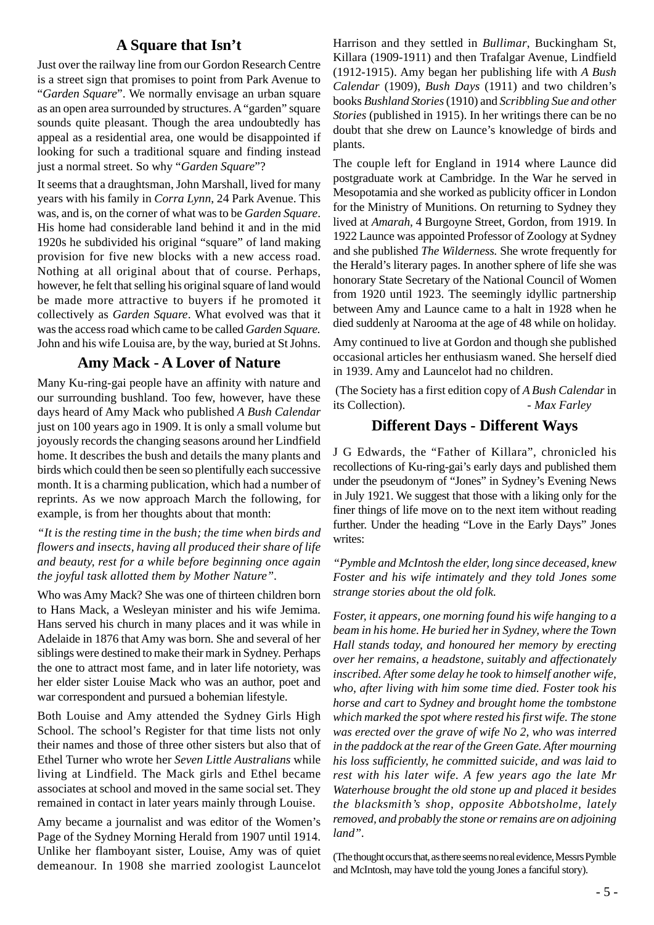#### **A Square that Isn't**

Just over the railway line from our Gordon Research Centre is a street sign that promises to point from Park Avenue to "*Garden Square*". We normally envisage an urban square as an open area surrounded by structures. A "garden" square sounds quite pleasant. Though the area undoubtedly has appeal as a residential area, one would be disappointed if looking for such a traditional square and finding instead just a normal street. So why "*Garden Square*"?

It seems that a draughtsman, John Marshall, lived for many years with his family in *Corra Lynn*, 24 Park Avenue. This was, and is, on the corner of what was to be *Garden Square*. His home had considerable land behind it and in the mid 1920s he subdivided his original "square" of land making provision for five new blocks with a new access road. Nothing at all original about that of course. Perhaps, however, he felt that selling his original square of land would be made more attractive to buyers if he promoted it collectively as *Garden Square*. What evolved was that it was the access road which came to be called *Garden Square.* John and his wife Louisa are, by the way, buried at St Johns.

#### **Amy Mack - A Lover of Nature**

Many Ku-ring-gai people have an affinity with nature and our surrounding bushland. Too few, however, have these days heard of Amy Mack who published *A Bush Calendar* just on 100 years ago in 1909. It is only a small volume but joyously records the changing seasons around her Lindfield home. It describes the bush and details the many plants and birds which could then be seen so plentifully each successive month. It is a charming publication, which had a number of reprints. As we now approach March the following, for example, is from her thoughts about that month:

*"It is the resting time in the bush; the time when birds and flowers and insects, having all produced their share of life and beauty, rest for a while before beginning once again the joyful task allotted them by Mother Nature".*

Who was Amy Mack? She was one of thirteen children born to Hans Mack, a Wesleyan minister and his wife Jemima. Hans served his church in many places and it was while in Adelaide in 1876 that Amy was born. She and several of her siblings were destined to make their mark in Sydney. Perhaps the one to attract most fame, and in later life notoriety, was her elder sister Louise Mack who was an author, poet and war correspondent and pursued a bohemian lifestyle.

Both Louise and Amy attended the Sydney Girls High School. The school's Register for that time lists not only their names and those of three other sisters but also that of Ethel Turner who wrote her *Seven Little Australians* while living at Lindfield. The Mack girls and Ethel became associates at school and moved in the same social set. They remained in contact in later years mainly through Louise.

Amy became a journalist and was editor of the Women's Page of the Sydney Morning Herald from 1907 until 1914. Unlike her flamboyant sister, Louise, Amy was of quiet demeanour. In 1908 she married zoologist Launcelot Harrison and they settled in *Bullimar*, Buckingham St, Killara (1909-1911) and then Trafalgar Avenue, Lindfield (1912-1915). Amy began her publishing life with *A Bush Calendar* (1909), *Bush Days* (1911) and two children's books *Bushland Stories* (1910) and *Scribbling Sue and other Stories* (published in 1915). In her writings there can be no doubt that she drew on Launce's knowledge of birds and plants.

The couple left for England in 1914 where Launce did postgraduate work at Cambridge. In the War he served in Mesopotamia and she worked as publicity officer in London for the Ministry of Munitions. On returning to Sydney they lived at *Amarah,* 4 Burgoyne Street, Gordon, from 1919. In 1922 Launce was appointed Professor of Zoology at Sydney and she published *The Wilderness.* She wrote frequently for the Herald's literary pages. In another sphere of life she was honorary State Secretary of the National Council of Women from 1920 until 1923. The seemingly idyllic partnership between Amy and Launce came to a halt in 1928 when he died suddenly at Narooma at the age of 48 while on holiday.

Amy continued to live at Gordon and though she published occasional articles her enthusiasm waned. She herself died in 1939. Amy and Launcelot had no children.

 (The Society has a first edition copy of *A Bush Calendar* in its Collection). - *Max Farley*

#### **Different Days - Different Ways**

J G Edwards, the "Father of Killara", chronicled his recollections of Ku-ring-gai's early days and published them under the pseudonym of "Jones" in Sydney's Evening News in July 1921. We suggest that those with a liking only for the finer things of life move on to the next item without reading further. Under the heading "Love in the Early Days" Jones writes:

*"Pymble and McIntosh the elder, long since deceased, knew Foster and his wife intimately and they told Jones some strange stories about the old folk.*

*Foster, it appears, one morning found his wife hanging to a beam in his home. He buried her in Sydney, where the Town Hall stands today, and honoured her memory by erecting over her remains, a headstone, suitably and affectionately inscribed. After some delay he took to himself another wife, who, after living with him some time died. Foster took his horse and cart to Sydney and brought home the tombstone which marked the spot where rested his first wife. The stone was erected over the grave of wife No 2, who was interred in the paddock at the rear of the Green Gate. After mourning his loss sufficiently, he committed suicide, and was laid to rest with his later wife. A few years ago the late Mr Waterhouse brought the old stone up and placed it besides the blacksmith's shop, opposite Abbotsholme, lately removed, and probably the stone or remains are on adjoining land".*

(The thought occurs that, as there seems no real evidence, Messrs Pymble and McIntosh, may have told the young Jones a fanciful story).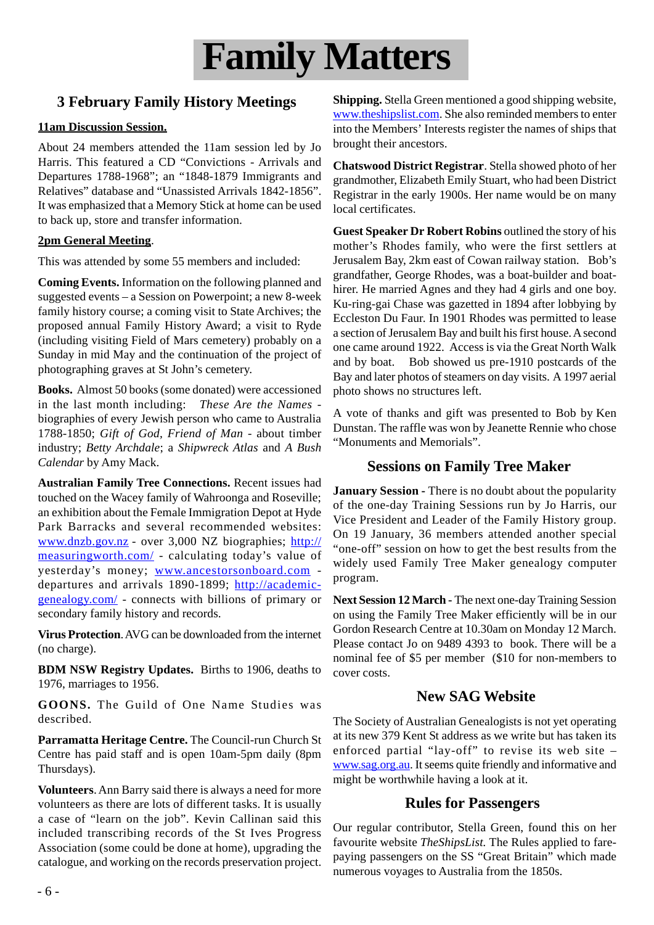

## **3 February Family History Meetings**

#### **11am Discussion Session.**

About 24 members attended the 11am session led by Jo Harris. This featured a CD "Convictions - Arrivals and Departures 1788-1968"; an "1848-1879 Immigrants and Relatives" database and "Unassisted Arrivals 1842-1856". It was emphasized that a Memory Stick at home can be used to back up, store and transfer information.

#### **2pm General Meeting**.

This was attended by some 55 members and included:

**Coming Events.** Information on the following planned and suggested events – a Session on Powerpoint; a new 8-week family history course; a coming visit to State Archives; the proposed annual Family History Award; a visit to Ryde (including visiting Field of Mars cemetery) probably on a Sunday in mid May and the continuation of the project of photographing graves at St John's cemetery.

**Books.** Almost 50 books (some donated) were accessioned in the last month including: *These Are the Names*  biographies of every Jewish person who came to Australia 1788-1850; *Gift of God, Friend of Man -* about timber industry; *Betty Archdale*; a *Shipwreck Atlas* and *A Bush Calendar* by Amy Mack.

**Australian Family Tree Connections.** Recent issues had touched on the Wacey family of Wahroonga and Roseville; an exhibition about the Female Immigration Depot at Hyde Park Barracks and several recommended websites: www.dnzb.gov.nz - over 3,000 NZ biographies; http:// measuringworth.com/ - calculating today's value of yesterday's money; www.ancestorsonboard.com departures and arrivals 1890-1899; http://academicgenealogy.com/ - connects with billions of primary or secondary family history and records.

**Virus Protection**. AVG can be downloaded from the internet (no charge).

**BDM NSW Registry Updates.** Births to 1906, deaths to 1976, marriages to 1956.

**GOONS.** The Guild of One Name Studies was described.

**Parramatta Heritage Centre.** The Council-run Church St Centre has paid staff and is open 10am-5pm daily (8pm Thursdays).

**Volunteers**. Ann Barry said there is always a need for more volunteers as there are lots of different tasks. It is usually a case of "learn on the job". Kevin Callinan said this included transcribing records of the St Ives Progress Association (some could be done at home), upgrading the catalogue, and working on the records preservation project. **Shipping.** Stella Green mentioned a good shipping website, www.theshipslist.com. She also reminded members to enter into the Members' Interests register the names of ships that brought their ancestors.

**Chatswood District Registrar**. Stella showed photo of her grandmother, Elizabeth Emily Stuart, who had been District Registrar in the early 1900s. Her name would be on many local certificates.

**Guest Speaker Dr Robert Robins** outlined the story of his mother's Rhodes family, who were the first settlers at Jerusalem Bay, 2km east of Cowan railway station. Bob's grandfather, George Rhodes, was a boat-builder and boathirer. He married Agnes and they had 4 girls and one boy. Ku-ring-gai Chase was gazetted in 1894 after lobbying by Eccleston Du Faur. In 1901 Rhodes was permitted to lease a section of Jerusalem Bay and built his first house. A second one came around 1922. Access is via the Great North Walk and by boat. Bob showed us pre-1910 postcards of the Bay and later photos of steamers on day visits. A 1997 aerial photo shows no structures left.

A vote of thanks and gift was presented to Bob by Ken Dunstan. The raffle was won by Jeanette Rennie who chose "Monuments and Memorials".

#### **Sessions on Family Tree Maker**

**January Session - There is no doubt about the popularity** of the one-day Training Sessions run by Jo Harris, our Vice President and Leader of the Family History group. On 19 January, 36 members attended another special "one-off" session on how to get the best results from the widely used Family Tree Maker genealogy computer program.

**Next Session 12 March -** The next one-day Training Session on using the Family Tree Maker efficiently will be in our Gordon Research Centre at 10.30am on Monday 12 March. Please contact Jo on 9489 4393 to book. There will be a nominal fee of \$5 per member (\$10 for non-members to cover costs.

#### **New SAG Website**

The Society of Australian Genealogists is not yet operating at its new 379 Kent St address as we write but has taken its enforced partial "lay-off" to revise its web site – www.sag.org.au. It seems quite friendly and informative and might be worthwhile having a look at it.

#### **Rules for Passengers**

Our regular contributor, Stella Green, found this on her favourite website *TheShipsList.* The Rules applied to farepaying passengers on the SS "Great Britain" which made numerous voyages to Australia from the 1850s.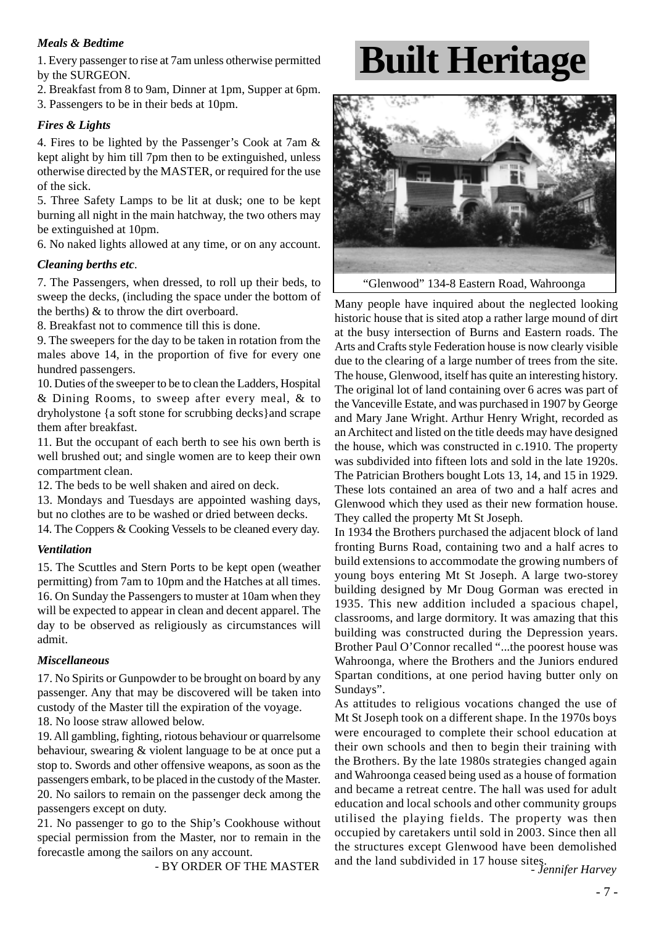#### *Meals & Bedtime*

1. Every passenger to rise at 7am unless otherwise permitted by the SURGEON.

2. Breakfast from 8 to 9am, Dinner at 1pm, Supper at 6pm. 3. Passengers to be in their beds at 10pm.

#### *Fires & Lights*

4. Fires to be lighted by the Passenger's Cook at 7am & kept alight by him till 7pm then to be extinguished, unless otherwise directed by the MASTER, or required for the use of the sick.

5. Three Safety Lamps to be lit at dusk; one to be kept burning all night in the main hatchway, the two others may be extinguished at 10pm.

6. No naked lights allowed at any time, or on any account.

#### *Cleaning berths etc*.

7. The Passengers, when dressed, to roll up their beds, to sweep the decks, (including the space under the bottom of the berths) & to throw the dirt overboard.

8. Breakfast not to commence till this is done.

9. The sweepers for the day to be taken in rotation from the males above 14, in the proportion of five for every one hundred passengers.

10. Duties of the sweeper to be to clean the Ladders, Hospital & Dining Rooms, to sweep after every meal, & to dryholystone {a soft stone for scrubbing decks}and scrape them after breakfast.

11. But the occupant of each berth to see his own berth is well brushed out; and single women are to keep their own compartment clean.

12. The beds to be well shaken and aired on deck.

13. Mondays and Tuesdays are appointed washing days, but no clothes are to be washed or dried between decks.

14. The Coppers & Cooking Vessels to be cleaned every day.

#### *Ventilation*

15. The Scuttles and Stern Ports to be kept open (weather permitting) from 7am to 10pm and the Hatches at all times. 16. On Sunday the Passengers to muster at 10am when they will be expected to appear in clean and decent apparel. The day to be observed as religiously as circumstances will admit.

#### *Miscellaneous*

17. No Spirits or Gunpowder to be brought on board by any passenger. Any that may be discovered will be taken into custody of the Master till the expiration of the voyage.

18. No loose straw allowed below.

19. All gambling, fighting, riotous behaviour or quarrelsome behaviour, swearing & violent language to be at once put a stop to. Swords and other offensive weapons, as soon as the passengers embark, to be placed in the custody of the Master. 20. No sailors to remain on the passenger deck among the passengers except on duty.

21. No passenger to go to the Ship's Cookhouse without special permission from the Master, nor to remain in the forecastle among the sailors on any account.

- BY ORDER OF THE MASTER

# **Built Heritage**



"Glenwood" 134-8 Eastern Road, Wahroonga

Many people have inquired about the neglected looking historic house that is sited atop a rather large mound of dirt at the busy intersection of Burns and Eastern roads. The Arts and Crafts style Federation house is now clearly visible due to the clearing of a large number of trees from the site. The house, Glenwood, itself has quite an interesting history. The original lot of land containing over 6 acres was part of the Vanceville Estate, and was purchased in 1907 by George and Mary Jane Wright. Arthur Henry Wright, recorded as an Architect and listed on the title deeds may have designed the house, which was constructed in c.1910. The property was subdivided into fifteen lots and sold in the late 1920s. The Patrician Brothers bought Lots 13, 14, and 15 in 1929. These lots contained an area of two and a half acres and Glenwood which they used as their new formation house. They called the property Mt St Joseph.

In 1934 the Brothers purchased the adjacent block of land fronting Burns Road, containing two and a half acres to build extensions to accommodate the growing numbers of young boys entering Mt St Joseph. A large two-storey building designed by Mr Doug Gorman was erected in 1935. This new addition included a spacious chapel, classrooms, and large dormitory. It was amazing that this building was constructed during the Depression years. Brother Paul O'Connor recalled "...the poorest house was Wahroonga, where the Brothers and the Juniors endured Spartan conditions, at one period having butter only on Sundays".

As attitudes to religious vocations changed the use of Mt St Joseph took on a different shape. In the 1970s boys were encouraged to complete their school education at their own schools and then to begin their training with the Brothers. By the late 1980s strategies changed again and Wahroonga ceased being used as a house of formation and became a retreat centre. The hall was used for adult education and local schools and other community groups utilised the playing fields. The property was then occupied by caretakers until sold in 2003. Since then all the structures except Glenwood have been demolished and the land subdivided in 17 house sites. - *Jennifer Harvey*